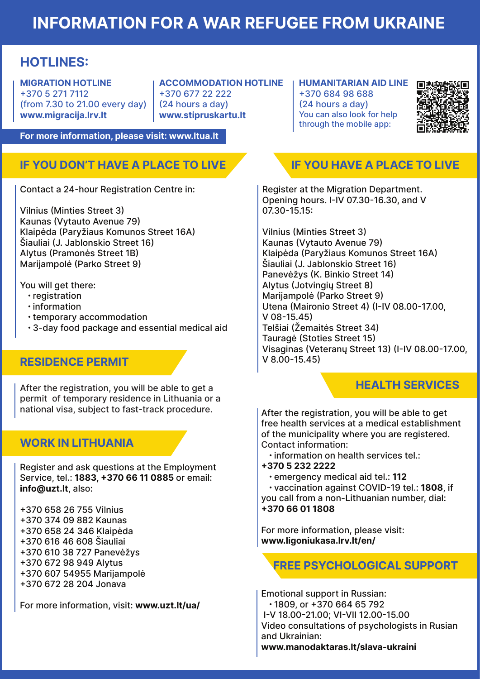# INFORMATION FOR A WAR REFUGEE FROM UKRAINE

## HOTLINES:

MIGRATION HOTLINE +370 5 271 7112 (from 7.30 to 21.00 every day) www.migracija.lrv.lt

ACCOMMODATION HOTLINE +370 677 22 222 (24 hours a day) www.stipruskartu.lt

HUMANITARIAN AID LINE +370 684 98 688 (24 hours a day) You can also look for help through the mobile app:



For more information, please visit: www.ltua.lt

## IF YOU DON'T HAVE A PLACE TO LIVE

Contact a 24-hour Registration Centre in:

Vilnius (Minties Street 3) Kaunas (Vytauto Avenue 79) Klaipėda (Paryžiaus Komunos Street 16A) Šiauliai (J. Jablonskio Street 16) Alytus (Pramonės Street 1B) Marijampolė (Parko Street 9)

You will get there:

- registration
- information
- temporary accommodation
- 3-day food package and essential medical aid

### RESIDENCE PERMIT

After the registration, you will be able to get a permit of temporary residence in Lithuania or a national visa, subject to fast-track procedure.

### WORK IN LITHUANIA

Register and ask questions at the Employment Service, tel.: 1883, +370 66 11 0885 or email: info@uzt.lt, also:

- +370 658 26 755 Vilnius
- +370 374 09 882 Kaunas
- +370 658 24 346 Klaipėda
- +370 616 46 608 Šiauliai
- +370 610 38 727 Panevėžys
- +370 672 98 949 Alytus
- +370 607 54955 Marijampolė
- +370 672 28 204 Jonava

For more information, visit: www.uzt.lt/ua/

## IF YOU HAVE A PLACE TO LIVE

Register at the Migration Department. Opening hours. I-IV 07.30-16.30, and V 07.30-15.15:

Vilnius (Minties Street 3) Kaunas (Vytauto Avenue 79) Klaipėda (Paryžiaus Komunos Street 16A) Šiauliai (J. Jablonskio Street 16) Panevėžys (K. Binkio Street 14) Alytus (Jotvingių Street 8) Marijampolė (Parko Street 9) Utena (Maironio Street 4) (I-IV 08.00-17.00, V 08-15.45) Telšiai (Žemaitės Street 34) Tauragė (Stoties Street 15) Visaginas (Veteranų Street 13) (I-IV 08.00-17.00, V 8.00-15.45)

## HEALTH SERVICES

After the registration, you will be able to get free health services at a medical establishment of the municipality where you are registered. Contact information:

- information on health services tel.:
- +370 5 232 2222
	- emergency medical aid tel.: 112

 • vaccination against COVID-19 tel.: 1808, if you call from a non-Lithuanian number, dial: +370 66 01 1808

For more information, please visit: www.ligoniukasa.lrv.lt/en/

FREE PSYCHOLOGICAL SUPPORT

Emotional support in Russian: • 1809, or +370 664 65 792 I-V 18.00-21.00; VI-VII 12.00-15.00 Video consultations of psychologists in Rusian and Ukrainian: www.manodaktaras.lt/slava-ukraini